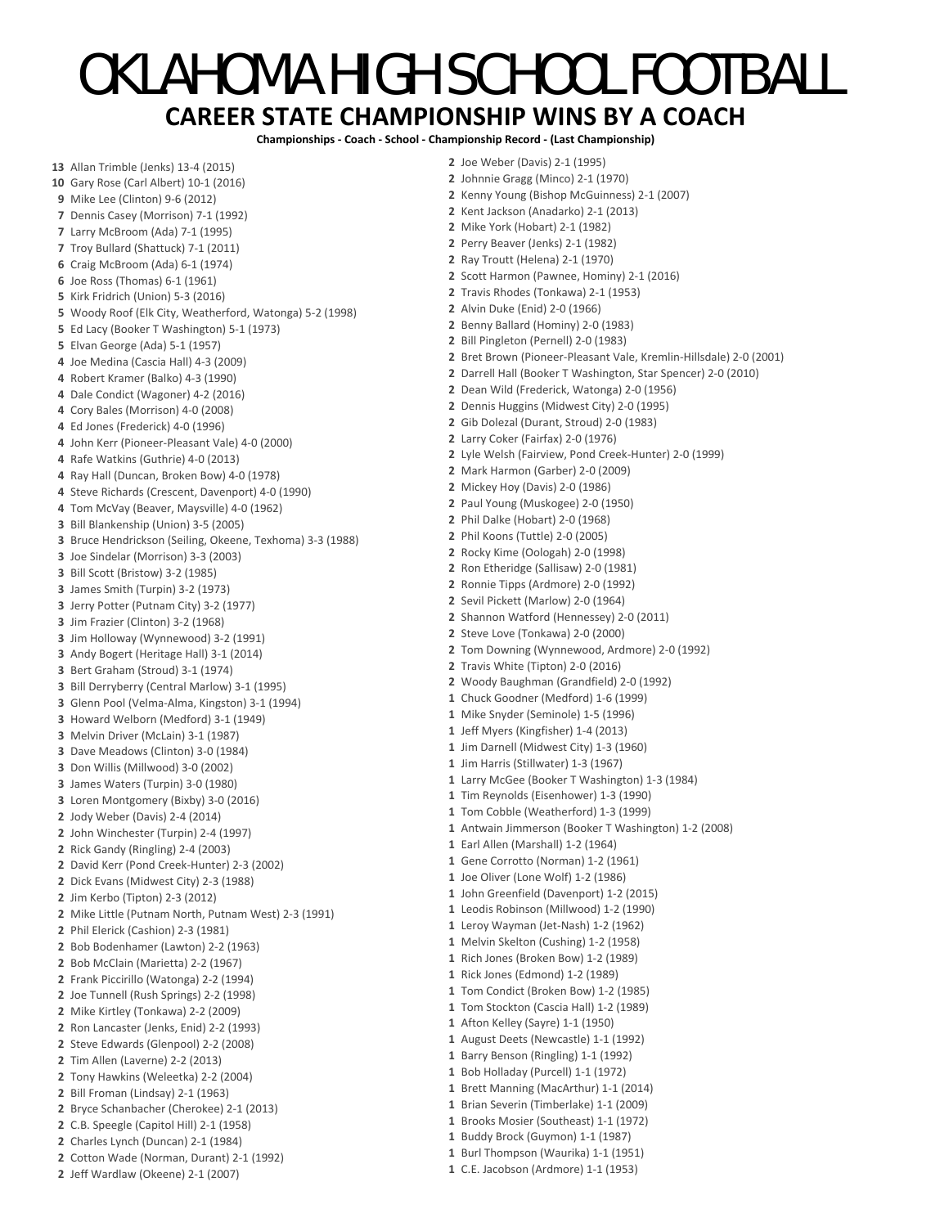## OKLAHOMA HIGH SCHOOL FOOTBALL **CAREER STATE CHAMPIONSHIP WINS BY A COACH**

**Championships ‐ Coach ‐ School ‐ Championship Record ‐ (Last Championship)**

 Allan Trimble (Jenks) 13‐4 (2015) Gary Rose (Carl Albert) 10‐1 (2016) Mike Lee (Clinton) 9‐6 (2012) Dennis Casey (Morrison) 7‐1 (1992) Larry McBroom (Ada) 7‐1 (1995) Troy Bullard (Shattuck) 7‐1 (2011) Craig McBroom (Ada) 6‐1 (1974) Joe Ross (Thomas) 6‐1 (1961) Kirk Fridrich (Union) 5‐3 (2016) Woody Roof (Elk City, Weatherford, Watonga) 5‐2 (1998) Ed Lacy (Booker T Washington) 5‐1 (1973) Elvan George (Ada) 5‐1 (1957) Joe Medina (Cascia Hall) 4‐3 (2009) Robert Kramer (Balko) 4‐3 (1990) Dale Condict (Wagoner) 4‐2 (2016) Cory Bales (Morrison) 4‐0 (2008) Ed Jones (Frederick) 4‐0 (1996) John Kerr (Pioneer‐Pleasant Vale) 4‐0 (2000) Rafe Watkins (Guthrie) 4‐0 (2013) Ray Hall (Duncan, Broken Bow) 4‐0 (1978) Steve Richards (Crescent, Davenport) 4‐0 (1990) Tom McVay (Beaver, Maysville) 4‐0 (1962) Bill Blankenship (Union) 3‐5 (2005) Bruce Hendrickson (Seiling, Okeene, Texhoma) 3‐3 (1988) Joe Sindelar (Morrison) 3‐3 (2003) Bill Scott (Bristow) 3‐2 (1985) James Smith (Turpin) 3‐2 (1973) Jerry Potter (Putnam City) 3‐2 (1977) Jim Frazier (Clinton) 3‐2 (1968) Jim Holloway (Wynnewood) 3‐2 (1991) Andy Bogert (Heritage Hall) 3‐1 (2014) Bert Graham (Stroud) 3‐1 (1974) Bill Derryberry (Central Marlow) 3‐1 (1995) Glenn Pool (Velma‐Alma, Kingston) 3‐1 (1994) Howard Welborn (Medford) 3‐1 (1949) Melvin Driver (McLain) 3‐1 (1987) Dave Meadows (Clinton) 3‐0 (1984) Don Willis (Millwood) 3‐0 (2002) James Waters (Turpin) 3‐0 (1980) Loren Montgomery (Bixby) 3‐0 (2016) Jody Weber (Davis) 2‐4 (2014) John Winchester (Turpin) 2‐4 (1997) Rick Gandy (Ringling) 2‐4 (2003) David Kerr (Pond Creek‐Hunter) 2‐3 (2002) Dick Evans (Midwest City) 2‐3 (1988) Jim Kerbo (Tipton) 2‐3 (2012) Mike Little (Putnam North, Putnam West) 2‐3 (1991) Phil Elerick (Cashion) 2‐3 (1981) Bob Bodenhamer (Lawton) 2‐2 (1963) Bob McClain (Marietta) 2‐2 (1967) Frank Piccirillo (Watonga) 2‐2 (1994) Joe Tunnell (Rush Springs) 2‐2 (1998) Mike Kirtley (Tonkawa) 2‐2 (2009) Ron Lancaster (Jenks, Enid) 2‐2 (1993) Steve Edwards (Glenpool) 2‐2 (2008) Tim Allen (Laverne) 2‐2 (2013) Tony Hawkins (Weleetka) 2‐2 (2004) Bill Froman (Lindsay) 2‐1 (1963) Bryce Schanbacher (Cherokee) 2‐1 (2013) C.B. Speegle (Capitol Hill) 2‐1 (1958) Charles Lynch (Duncan) 2‐1 (1984) Cotton Wade (Norman, Durant) 2‐1 (1992) Jeff Wardlaw (Okeene) 2‐1 (2007) Joe Weber (Davis) 2‐1 (1995) Johnnie Gragg (Minco) 2‐1 (1970) Kenny Young (Bishop McGuinness) 2‐1 (2007) Kent Jackson (Anadarko) 2‐1 (2013) Mike York (Hobart) 2‐1 (1982) Perry Beaver (Jenks) 2‐1 (1982) Ray Troutt (Helena) 2‐1 (1970) Scott Harmon (Pawnee, Hominy) 2‐1 (2016) Travis Rhodes (Tonkawa) 2‐1 (1953) Alvin Duke (Enid) 2‐0 (1966) Benny Ballard (Hominy) 2‐0 (1983) Bill Pingleton (Pernell) 2‐0 (1983) Bret Brown (Pioneer‐Pleasant Vale, Kremlin‐Hillsdale) 2‐0 (2001) Darrell Hall (Booker T Washington, Star Spencer) 2‐0 (2010) Dean Wild (Frederick, Watonga) 2‐0 (1956) Dennis Huggins (Midwest City) 2‐0 (1995) Gib Dolezal (Durant, Stroud) 2‐0 (1983) Larry Coker (Fairfax) 2‐0 (1976) Lyle Welsh (Fairview, Pond Creek‐Hunter) 2‐0 (1999) Mark Harmon (Garber) 2‐0 (2009) Mickey Hoy (Davis) 2‐0 (1986) Paul Young (Muskogee) 2‐0 (1950) Phil Dalke (Hobart) 2‐0 (1968) Phil Koons (Tuttle) 2‐0 (2005) Rocky Kime (Oologah) 2‐0 (1998) Ron Etheridge (Sallisaw) 2‐0 (1981) Ronnie Tipps (Ardmore) 2‐0 (1992) Sevil Pickett (Marlow) 2‐0 (1964) Shannon Watford (Hennessey) 2‐0 (2011) Steve Love (Tonkawa) 2‐0 (2000) Tom Downing (Wynnewood, Ardmore) 2‐0 (1992) Travis White (Tipton) 2‐0 (2016) Woody Baughman (Grandfield) 2‐0 (1992) Chuck Goodner (Medford) 1‐6 (1999) Mike Snyder (Seminole) 1‐5 (1996) Jeff Myers (Kingfisher) 1‐4 (2013) Jim Darnell (Midwest City) 1‐3 (1960) Jim Harris (Stillwater) 1‐3 (1967) Larry McGee (Booker T Washington) 1‐3 (1984) Tim Reynolds (Eisenhower) 1‐3 (1990) Tom Cobble (Weatherford) 1‐3 (1999) Antwain Jimmerson (Booker T Washington) 1‐2 (2008) Earl Allen (Marshall) 1‐2 (1964) Gene Corrotto (Norman) 1‐2 (1961) Joe Oliver (Lone Wolf) 1‐2 (1986) John Greenfield (Davenport) 1‐2 (2015) Leodis Robinson (Millwood) 1‐2 (1990) Leroy Wayman (Jet‐Nash) 1‐2 (1962) Melvin Skelton (Cushing) 1‐2 (1958) Rich Jones (Broken Bow) 1‐2 (1989) Rick Jones (Edmond) 1‐2 (1989) Tom Condict (Broken Bow) 1‐2 (1985) Tom Stockton (Cascia Hall) 1‐2 (1989) Afton Kelley (Sayre) 1‐1 (1950) August Deets (Newcastle) 1‐1 (1992) Barry Benson (Ringling) 1‐1 (1992) Bob Holladay (Purcell) 1‐1 (1972) Brett Manning (MacArthur) 1‐1 (2014) Brian Severin (Timberlake) 1‐1 (2009) Brooks Mosier (Southeast) 1‐1 (1972) Buddy Brock (Guymon) 1‐1 (1987) Burl Thompson (Waurika) 1‐1 (1951) C.E. Jacobson (Ardmore) 1‐1 (1953)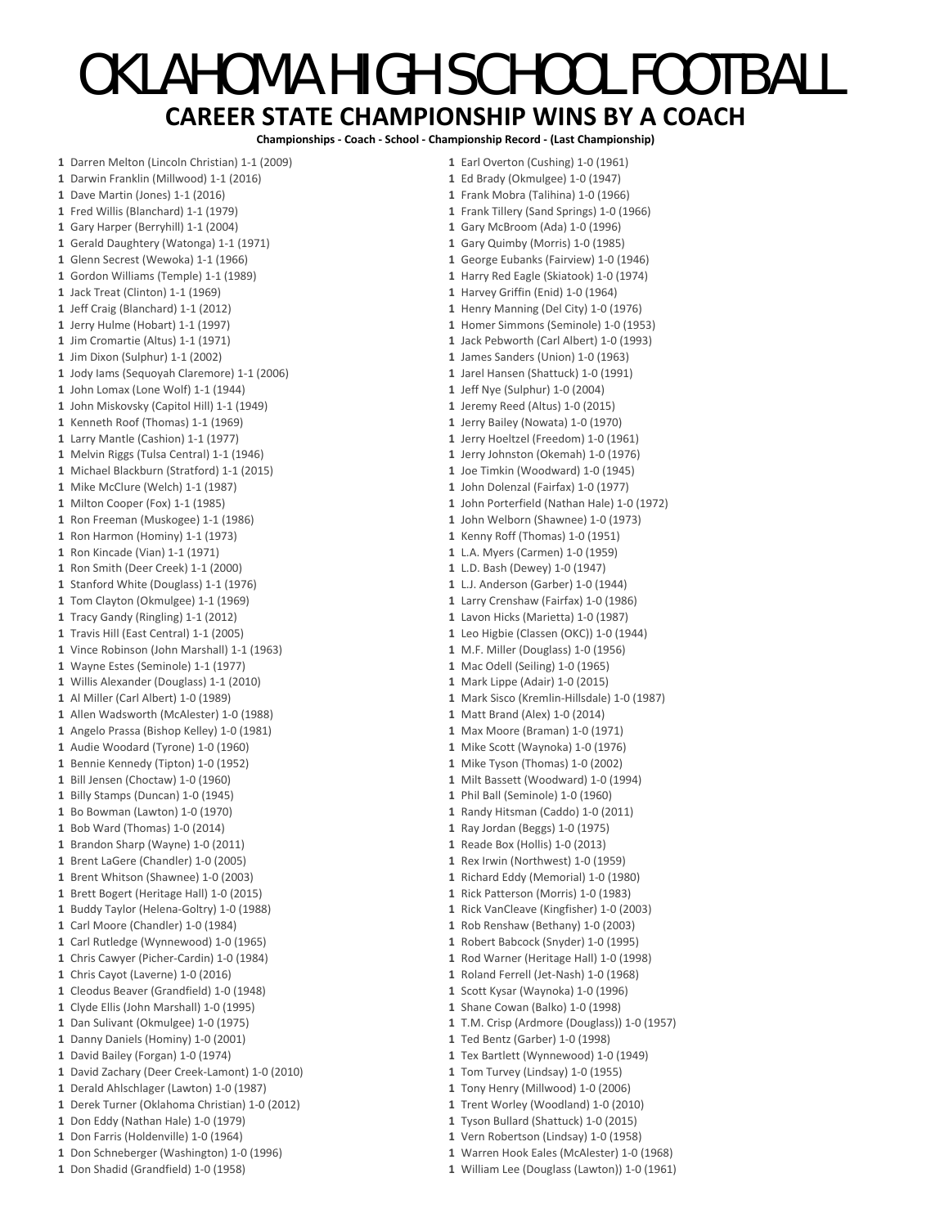## OKLAHOMA HIGH SCHOOL FOOTBALL **CAREER STATE CHAMPIONSHIP WINS BY A COACH**

**Championships ‐ Coach ‐ School ‐ Championship Record ‐ (Last Championship)**

 Darren Melton (Lincoln Christian) 1‐1 (2009) Darwin Franklin (Millwood) 1‐1 (2016) Dave Martin (Jones) 1‐1 (2016) Fred Willis (Blanchard) 1‐1 (1979) Gary Harper (Berryhill) 1‐1 (2004) Gerald Daughtery (Watonga) 1‐1 (1971) Glenn Secrest (Wewoka) 1‐1 (1966) Gordon Williams (Temple) 1‐1 (1989) Jack Treat (Clinton) 1‐1 (1969) Jeff Craig (Blanchard) 1‐1 (2012) Jerry Hulme (Hobart) 1‐1 (1997) Jim Cromartie (Altus) 1‐1 (1971) Jim Dixon (Sulphur) 1‐1 (2002) Jody Iams (Sequoyah Claremore) 1‐1 (2006) John Lomax (Lone Wolf) 1‐1 (1944) John Miskovsky (Capitol Hill) 1‐1 (1949) Kenneth Roof (Thomas) 1‐1 (1969) Larry Mantle (Cashion) 1‐1 (1977) Melvin Riggs (Tulsa Central) 1‐1 (1946) Michael Blackburn (Stratford) 1‐1 (2015) Mike McClure (Welch) 1‐1 (1987) Milton Cooper (Fox) 1‐1 (1985) Ron Freeman (Muskogee) 1‐1 (1986) Ron Harmon (Hominy) 1‐1 (1973) Ron Kincade (Vian) 1‐1 (1971) Ron Smith (Deer Creek) 1‐1 (2000) Stanford White (Douglass) 1‐1 (1976) Tom Clayton (Okmulgee) 1‐1 (1969) Tracy Gandy (Ringling) 1‐1 (2012) Travis Hill (East Central) 1‐1 (2005) Vince Robinson (John Marshall) 1‐1 (1963) Wayne Estes (Seminole) 1‐1 (1977) Willis Alexander (Douglass) 1‐1 (2010) Al Miller (Carl Albert) 1‐0 (1989) Allen Wadsworth (McAlester) 1‐0 (1988) Angelo Prassa (Bishop Kelley) 1‐0 (1981) Audie Woodard (Tyrone) 1‐0 (1960) Bennie Kennedy (Tipton) 1‐0 (1952) Bill Jensen (Choctaw) 1‐0 (1960) Billy Stamps (Duncan) 1‐0 (1945) Bo Bowman (Lawton) 1‐0 (1970) Bob Ward (Thomas) 1‐0 (2014) Brandon Sharp (Wayne) 1‐0 (2011) Brent LaGere (Chandler) 1‐0 (2005) Brent Whitson (Shawnee) 1‐0 (2003) Brett Bogert (Heritage Hall) 1‐0 (2015) Buddy Taylor (Helena‐Goltry) 1‐0 (1988) Carl Moore (Chandler) 1‐0 (1984) Carl Rutledge (Wynnewood) 1‐0 (1965) Chris Cawyer (Picher‐Cardin) 1‐0 (1984) Chris Cayot (Laverne) 1‐0 (2016) Cleodus Beaver (Grandfield) 1‐0 (1948) Clyde Ellis (John Marshall) 1‐0 (1995) Dan Sulivant (Okmulgee) 1‐0 (1975) Danny Daniels (Hominy) 1‐0 (2001) David Bailey (Forgan) 1‐0 (1974) David Zachary (Deer Creek‐Lamont) 1‐0 (2010) Derald Ahlschlager (Lawton) 1‐0 (1987) Derek Turner (Oklahoma Christian) 1‐0 (2012) Don Eddy (Nathan Hale) 1‐0 (1979) Don Farris (Holdenville) 1‐0 (1964) Don Schneberger (Washington) 1‐0 (1996) Don Shadid (Grandfield) 1‐0 (1958)

 Earl Overton (Cushing) 1‐0 (1961) Ed Brady (Okmulgee) 1‐0 (1947) Frank Mobra (Talihina) 1‐0 (1966) Frank Tillery (Sand Springs) 1‐0 (1966) Gary McBroom (Ada) 1‐0 (1996) Gary Quimby (Morris) 1‐0 (1985) George Eubanks (Fairview) 1‐0 (1946) Harry Red Eagle (Skiatook) 1‐0 (1974) Harvey Griffin (Enid) 1‐0 (1964) Henry Manning (Del City) 1‐0 (1976) Homer Simmons (Seminole) 1‐0 (1953) Jack Pebworth (Carl Albert) 1‐0 (1993) James Sanders (Union) 1‐0 (1963) Jarel Hansen (Shattuck) 1‐0 (1991) Jeff Nye (Sulphur) 1‐0 (2004) Jeremy Reed (Altus) 1‐0 (2015) Jerry Bailey (Nowata) 1‐0 (1970) Jerry Hoeltzel (Freedom) 1‐0 (1961) Jerry Johnston (Okemah) 1‐0 (1976) Joe Timkin (Woodward) 1‐0 (1945) John Dolenzal (Fairfax) 1‐0 (1977) John Porterfield (Nathan Hale) 1‐0 (1972) John Welborn (Shawnee) 1‐0 (1973) Kenny Roff (Thomas) 1‐0 (1951) L.A. Myers (Carmen) 1‐0 (1959) L.D. Bash (Dewey) 1‐0 (1947) L.J. Anderson (Garber) 1‐0 (1944) Larry Crenshaw (Fairfax) 1‐0 (1986) Lavon Hicks (Marietta) 1‐0 (1987) Leo Higbie (Classen (OKC)) 1‐0 (1944) M.F. Miller (Douglass) 1‐0 (1956) Mac Odell (Seiling) 1‐0 (1965) Mark Lippe (Adair) 1‐0 (2015) Mark Sisco (Kremlin‐Hillsdale) 1‐0 (1987) Matt Brand (Alex) 1‐0 (2014) Max Moore (Braman) 1‐0 (1971) Mike Scott (Waynoka) 1‐0 (1976) Mike Tyson (Thomas) 1‐0 (2002) Milt Bassett (Woodward) 1‐0 (1994) Phil Ball (Seminole) 1‐0 (1960) Randy Hitsman (Caddo) 1‐0 (2011) Ray Jordan (Beggs) 1‐0 (1975) Reade Box (Hollis) 1‐0 (2013) Rex Irwin (Northwest) 1‐0 (1959) Richard Eddy (Memorial) 1‐0 (1980) Rick Patterson (Morris) 1‐0 (1983) Rick VanCleave (Kingfisher) 1‐0 (2003) Rob Renshaw (Bethany) 1‐0 (2003) Robert Babcock (Snyder) 1‐0 (1995) Rod Warner (Heritage Hall) 1‐0 (1998) Roland Ferrell (Jet‐Nash) 1‐0 (1968) Scott Kysar (Waynoka) 1‐0 (1996) Shane Cowan (Balko) 1‐0 (1998) T.M. Crisp (Ardmore (Douglass)) 1‐0 (1957) Ted Bentz (Garber) 1‐0 (1998) Tex Bartlett (Wynnewood) 1‐0 (1949) Tom Turvey (Lindsay) 1‐0 (1955) Tony Henry (Millwood) 1‐0 (2006) Trent Worley (Woodland) 1‐0 (2010) Tyson Bullard (Shattuck) 1‐0 (2015) Vern Robertson (Lindsay) 1‐0 (1958) Warren Hook Eales (McAlester) 1‐0 (1968) William Lee (Douglass (Lawton)) 1‐0 (1961)